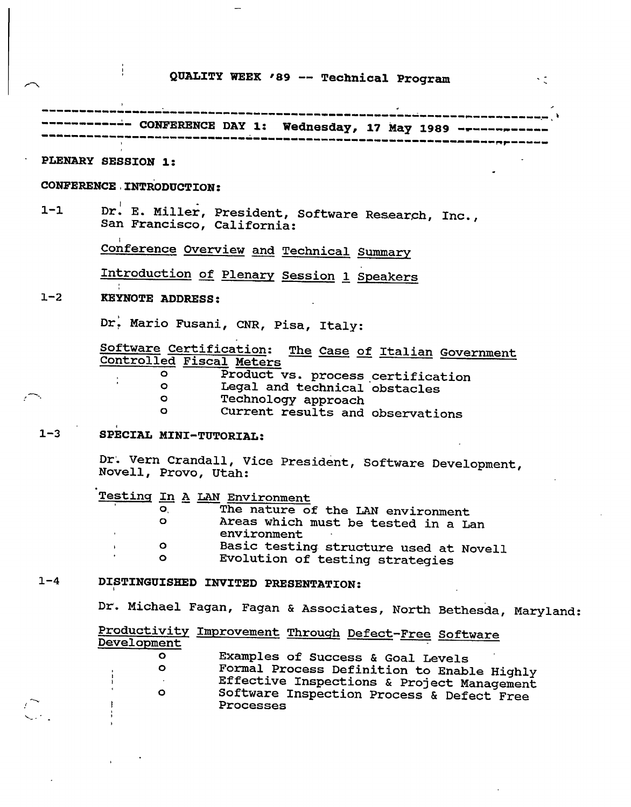## **QUALITY WEEK '89 -- Technical Program**

|         | ------------ CONFERENCE DAY 1: Wednesday, 17 May 1989 ---------                                                                    |
|---------|------------------------------------------------------------------------------------------------------------------------------------|
|         | PLENARY SESSION 1:                                                                                                                 |
|         | CONFERENCE INTRODUCTION:                                                                                                           |
| $1 - 1$ | Dr. E. Miller, President, Software Research, Inc.,<br>San Francisco, California:                                                   |
|         | Conference Overview and Technical Summary                                                                                          |
|         | Introduction of Plenary Session 1 Speakers                                                                                         |
| $1 - 2$ | <b>KEYNOTE ADDRESS:</b>                                                                                                            |
|         | Dr. Mario Fusani, CNR, Pisa, Italy:                                                                                                |
|         | Software Certification: The Case of Italian Government<br>Controlled Fiscal Meters<br>$\circ$<br>Product vs. process certification |
|         | Legal and technical obstacles<br>$\circ$<br>Technology approach<br>$\circ$<br>Current results and observations<br>$\mathbf{o}$     |
| $1 - 3$ | SPECIAL MINI-TUTORIAL:                                                                                                             |
|         | Dr. Vern Crandall, Vice President, Software Development,<br>Novell, Provo, Utah:                                                   |
|         | Testing In A LAN Environment<br>The nature of the LAN environment<br>$\bullet$ .<br>$\bullet$                                      |
|         | Areas which must be tested in a Lan<br>environment                                                                                 |
|         | Basic testing structure used at Novell<br>$\circ$<br>Evolution of testing strategies                                               |
| $1 - 4$ | DISTINGUISHED INVITED PRESENTATION:                                                                                                |
|         | Dr. Michael Fagan, Fagan & Associates, North Bethesda, Maryland:                                                                   |
|         | Productivity Improvement Through Defect-Free Software<br>Development                                                               |
|         | $\bullet$<br>Examples of Success & Goal Levels<br>$\bullet$<br>Formal Process Definition to Enable Highly                          |
|         | Effective Inspections & Project Management<br>$\circ$<br>Software Inspection Process & Defect Free<br>Processes                    |
|         |                                                                                                                                    |

 $\sim 3\%$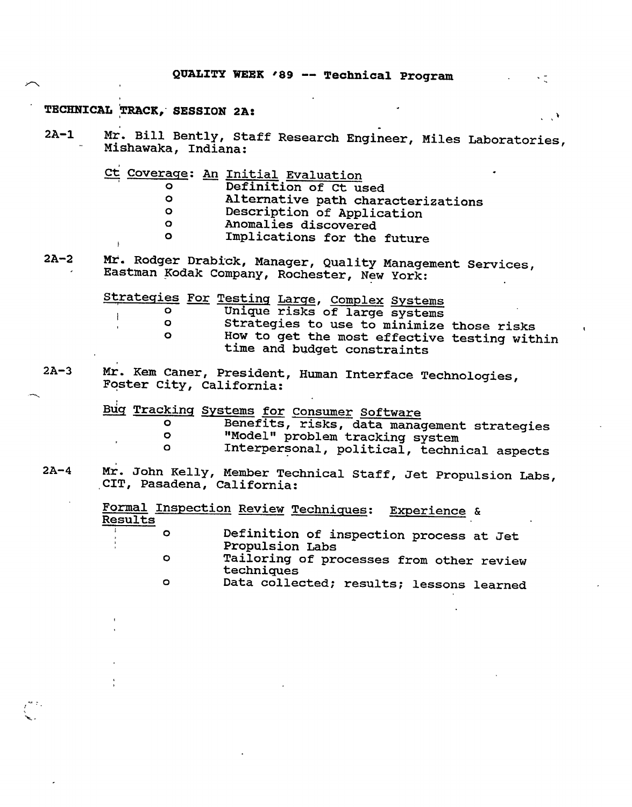#### **TECHNICAL TRACK, SESSION 2A:**

2A-1 Mr. Bill Bently, Staff Research Engineer, Miles Laboratories, Mishawaka, Indiana:

Ct Coverage: An Initial Evaluation

|  | Definition of Ct used |  |  |
|--|-----------------------|--|--|
|  | .                     |  |  |

- o Alternative path characterizations
- o Description of Application<br>componenties discovered
- o anomalies discovered<br>complications for the
- Implications for the future

2A-2 Mt. Rodger Drabick, Manager, Quality Management Services, Eastman Kodak Company, Rochester, New York:

Strategies For Testing Large, Complex Systems

| 0 |  | Unique risks of large systems | - , - - - - - - - |  |
|---|--|-------------------------------|-------------------|--|
|   |  |                               |                   |  |

o Strategies to use to minimize those risks<br>O How to get the most offective testing with How to get the most effective testing within time and budget constraints

 $\sim$  7.

 $\mathcal{L}^{\mathcal{A}}$ 

2A-3 Mr. Rem Caner, President, Human Interface Technologies, Foster City, California:

> Bug Tracking Systems for Consumer Software<br>O Benefits, risks, data manag o Benefits, risks, data management strategies<br>o "Model" problem tracking system o 1999 "Model" problem tracking system<br>O 11 Interpersonal political techni Interpersonal, political, technical aspects

2A-4 Mr. John Kelly, Member Technical Staff, Jet Propulsion Labs, CIT, Pasadena, California:

| Results |   |                 | Formal Inspection Review Techniques: Experience & |  |
|---------|---|-----------------|---------------------------------------------------|--|
|         | O | Propulsion Labs | Definition of inspection process at Jet           |  |
|         | Ο | techniques      | Tailoring of processes from other review          |  |
|         | O |                 | Data collected; results; lessons learned          |  |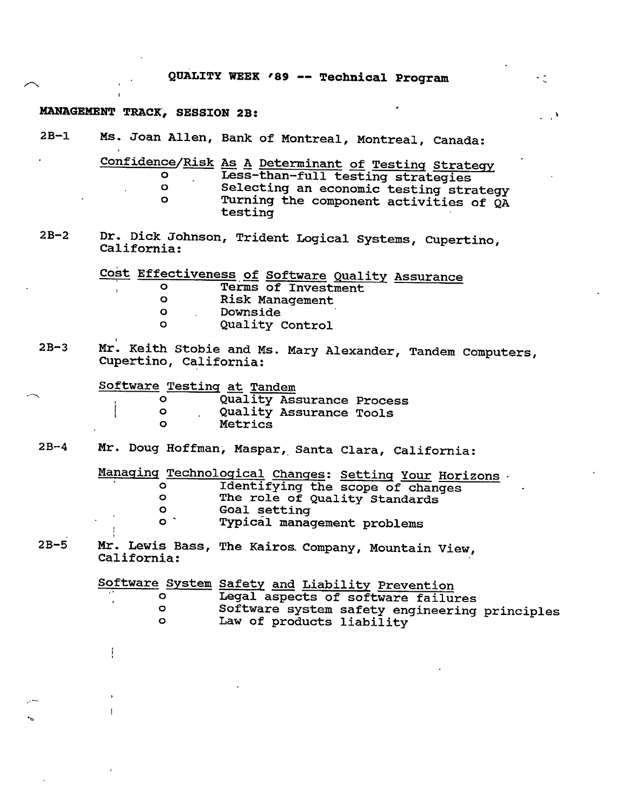|  |  |  |  | QUALITY WEEK '89 -- Technical Program |  |
|--|--|--|--|---------------------------------------|--|
|--|--|--|--|---------------------------------------|--|

### **MANAGEMENT TRACK, SESSION 2B:**

 $\mathbf{I}$ 

ï

 $\ddot{\phantom{a}}$ 

| $2B-1$ |                                                             | Ms. Joan Allen, Bank of Montreal, Montreal, Canada:                                                                                                                                      |
|--------|-------------------------------------------------------------|------------------------------------------------------------------------------------------------------------------------------------------------------------------------------------------|
|        | O.<br>$\bullet$<br>$\circ$                                  | Confidence/Risk As A Determinant of Testing Strategy<br>Less-than-full testing strategies<br>Selecting an economic testing strategy<br>Turning the component activities of QA<br>testing |
| $2B-2$ | California:                                                 | Dr. Dick Johnson, Trident Logical Systems, Cupertino,                                                                                                                                    |
|        | $\bullet$<br>O<br>$\bullet$<br>$\circ$                      | Cost Effectiveness of Software Quality Assurance<br>Terms of Investment<br><b>Risk Management</b><br>Downside<br>Quality Control                                                         |
| $2B-3$ | Cupertino, California:                                      | Mr. Keith Stobie and Ms. Mary Alexander, Tandem Computers,                                                                                                                               |
|        | Software Testing at Tandem<br>$\circ$<br>$\circ$<br>$\circ$ | Quality Assurance Process<br>Quality Assurance Tools<br>Metrics                                                                                                                          |
| $2B-4$ |                                                             | Mr. Doug Hoffman, Maspar, Santa Clara, California:                                                                                                                                       |
|        | $\circ$<br>$\circ$<br>$\circ$<br>$\circ$ $\cdot$            | Managing Technological Changes: Setting Your Horizons.<br>Identifying the scope of changes<br>The role of Quality Standards<br>Goal setting<br>Typical management problems               |
| $2B-5$ | California:                                                 | Mr. Lewis Bass, The Kairos Company, Mountain View,                                                                                                                                       |
|        | $\circ$<br>$\mathbf{o}$<br>$\bullet$                        | Software System Safety and Liability Prevention<br>Legal aspects of software failures<br>Software system safety engineering principles<br>Law of products liability                      |
|        |                                                             |                                                                                                                                                                                          |
|        |                                                             |                                                                                                                                                                                          |

 $\frac{1}{2}$ 

 $\mathcal{L}^{\mathcal{A}}$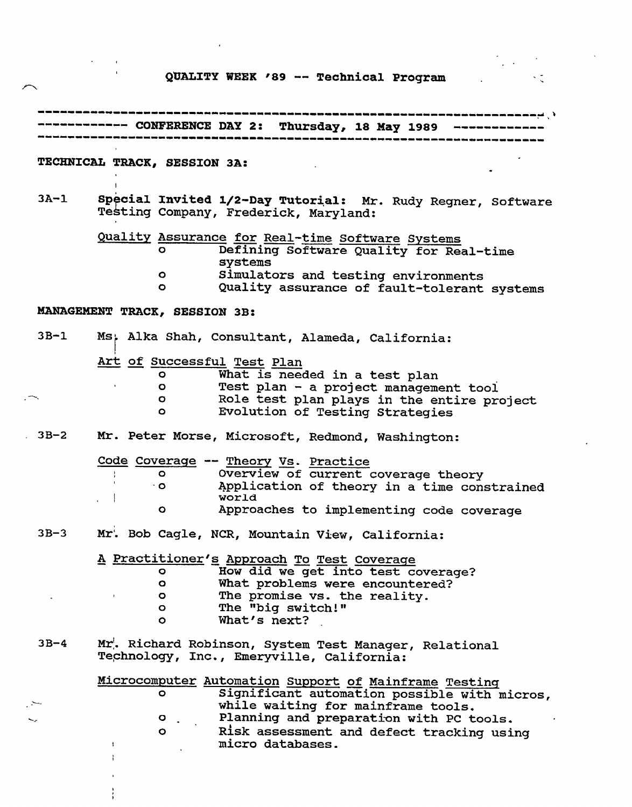# **QUALITY WEEK '89 -- Technical Program**

 $\boldsymbol{\cdot}$  $\sim$   $\sim$ 

 $\frac{1}{3}$ 

|        | ------- CONFERENCE DAY 2: Thursday, 18 May 1989                                                                   |
|--------|-------------------------------------------------------------------------------------------------------------------|
|        |                                                                                                                   |
|        | TECHNICAL TRACK, SESSION 3A:                                                                                      |
|        |                                                                                                                   |
| $3A-1$ | Special Invited 1/2-Day Tutorial: Mr. Rudy Regner, Software<br>Testing Company, Frederick, Maryland:              |
|        | Quality Assurance for Real-time Software Systems<br>Defining Software Quality for Real-time<br>$\circ$<br>systems |
|        | Simulators and testing environments<br>$\bullet$<br>Quality assurance of fault-tolerant systems<br>$\bullet$      |
|        |                                                                                                                   |
|        | MANAGEMENT TRACK, SESSION 3B:                                                                                     |
| $3B-1$ | Ms; Alka Shah, Consultant, Alameda, California:                                                                   |
|        | Art of Successful Test Plan                                                                                       |
|        | What is needed in a test plan<br>O                                                                                |
|        | Test plan - a project management tool<br>$\circ$                                                                  |
|        | Role test plan plays in the entire project<br>$\bullet$                                                           |
|        | Evolution of Testing Strategies<br>$\circ$                                                                        |
| $3B-2$ | Mr. Peter Morse, Microsoft, Redmond, Washington:                                                                  |
|        | Code Coverage -- Theory Vs. Practice                                                                              |
|        | Overview of current coverage theory<br>$\circ$                                                                    |
|        | Application of theory in a time constrained<br>$\cdot$ O<br>world                                                 |
|        | Approaches to implementing code coverage<br>$\bullet$                                                             |
|        |                                                                                                                   |
| $3B-3$ | Mr. Bob Cagle, NCR, Mountain View, California:                                                                    |
|        | A Practitioner's Approach To Test Coverage                                                                        |
|        | How did we get into test coverage?<br>$\circ$                                                                     |
|        | What problems were encountered?<br>$\circ$                                                                        |
|        | The promise vs. the reality.<br>$\circ$                                                                           |
|        | The "big switch!"<br>$\bullet$                                                                                    |
|        | What's next?<br>$\circ$                                                                                           |
| $3B-4$ | Mr. Richard Robinson, System Test Manager, Relational<br>Technology, Inc., Emeryville, California:                |
|        | Microcomputer Automation Support of Mainframe Testing                                                             |
|        | Significant automation possible with micros,<br>$\circ$                                                           |
|        | while waiting for mainframe tools.                                                                                |
|        | Planning and preparation with PC tools.<br>o                                                                      |
|        | Risk assessment and defect tracking using<br>$\circ$<br>micro databases.                                          |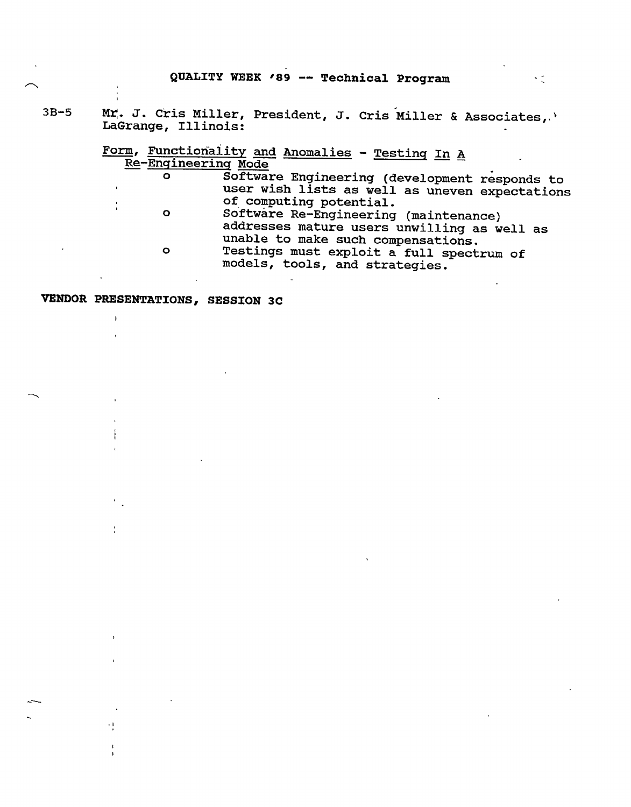#### **QUALITY WEEK ,89 -- Technical Program**

3B-5 Mr. J. Cris Miller, President, J. Cris Miller & Associates, LaGrange, Illinois:

> Form, Functionality and Anomalies - Testing In A Re-Engineering Mode

o Software Engineering (development responds to user wish lists as well as uneven expectations of computing potential. o Software Re-Engineering (maintenance) addresses mature users unwilling as well as unable to make such compensations. o Testings must exploit a full spectrum of models, tools, and strategies.

#### **VENDOR PRESENTATIONS, SESSION 3C**

÷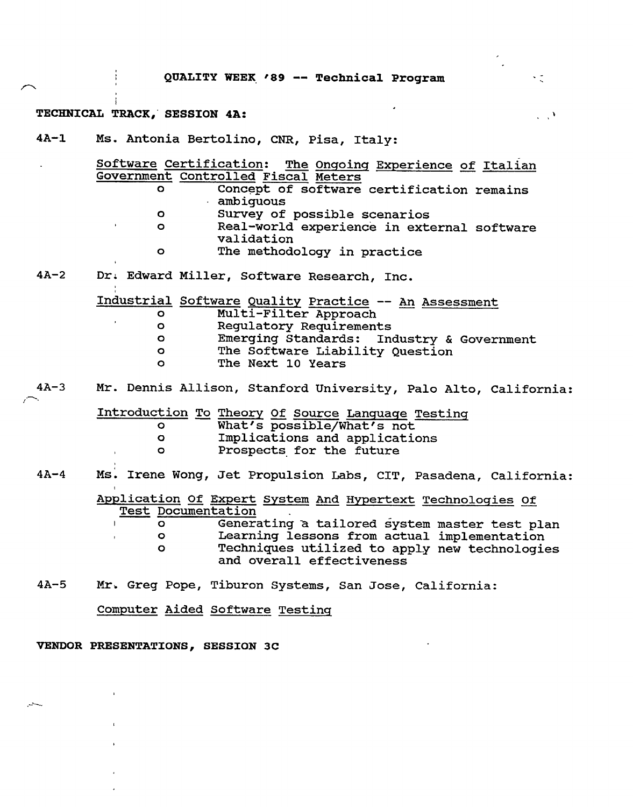$\sim$ 

 $\frac{1}{2}$ 

 $\mathcal{L}_{\mathcal{L},\mathcal{L}}$ 

#### TECHNICAL TRACK, SESSION 4A:

4A-1 Ms. Antonia Bertolino, CNR, Pisa, Italy:

|        | $\circ$<br>$\bullet$<br>$\bullet$<br>$\bullet$                | Software Certification: The Ongoing Experience of Italian<br>Government Controlled Fiscal Meters<br>Concept of software certification remains<br>ambiquous<br>Survey of possible scenarios<br>Real-world experience in external software<br>validation<br>The methodology in practice |
|--------|---------------------------------------------------------------|---------------------------------------------------------------------------------------------------------------------------------------------------------------------------------------------------------------------------------------------------------------------------------------|
| $4A-2$ |                                                               | Dr. Edward Miller, Software Research, Inc.                                                                                                                                                                                                                                            |
|        | O.<br>$\bullet$<br>$\bullet$<br>$\circ$<br>$\Omega$           | Industrial Software Quality Practice -- An Assessment<br>Multi-Filter Approach<br>Regulatory Requirements<br>Emerging Standards: Industry & Government<br>The Software Liability Question<br>The Next 10 Years                                                                        |
| $4A-3$ |                                                               | Mr. Dennis Allison, Stanford University, Palo Alto, California:                                                                                                                                                                                                                       |
|        | $\circ$<br>$\bullet$<br>$\circ$                               | Introduction To Theory Of Source Language Testing<br>What's possible/What's not<br>Implications and applications<br>Prospects for the future                                                                                                                                          |
| $4A-4$ |                                                               | Ms. Irene Wong, Jet Propulsion Labs, CIT, Pasadena, California:                                                                                                                                                                                                                       |
|        | <b>Test Documentation</b><br>$\circ$<br>$\bullet$<br>$\Omega$ | Application Of Expert System And Hypertext Technologies Of<br>Generating a tailored system master test plan<br>Learning lessons from actual implementation<br>Techniques utilized to apply new technologies<br>and overall effectiveness                                              |

4A-5 Mr. Greg Pope, Tiburon Systems, San Jose, California:

Computer Aided Software Testing

#### **VENDOR PRESENTATIONS, SESSION 3C**

 $\sim$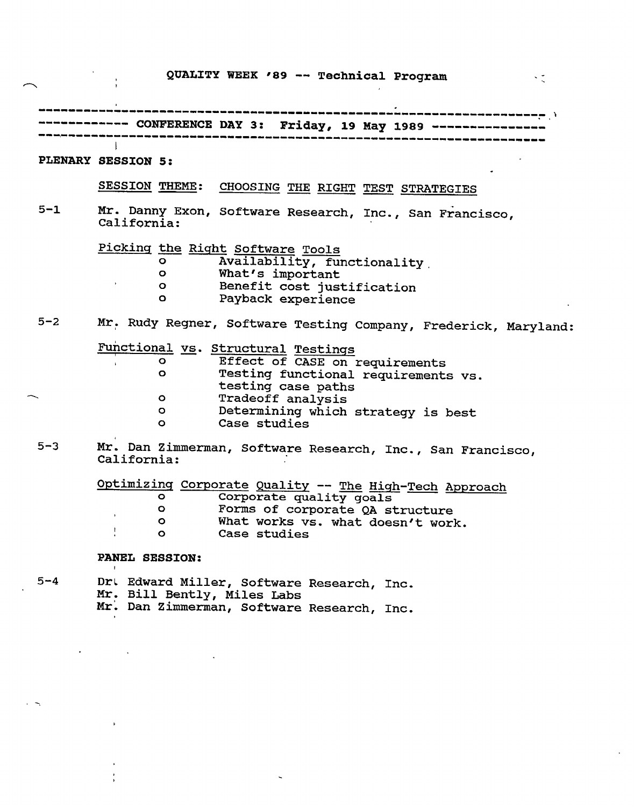#### **QUALITY WEEK '89 -- Technical Program**

一下で

**CONFERENCE DAY 3: Friday, 19 May 1989**   $\mathbb{R}$ **PLENARY SESSION 5:**  SESSION THEME: CHOOSING THE RIGHT TEST STRATEGIES 5-1 Mr. Danny Exon, Software Research, Inc., San Francisco, California: Picking the Right Software Tools<br>o Availability, fu o Availability, functionality<br>o What's important o What's important o Benefit cost justification Payback experience 5-2 Mr. Rudy Regner, Software Testing Company, Frederick, Maryland: Functional vs. Structural Testings o Effect of CASE on requirements<br>o Testing functional requirements Testing functional requirements vs. testing case paths Tradeoff analysis  $\circ$ o Determining which strategy is best Case studies 5-3 Mr. Dan Zimmerman, Software Research, Inc., San Francisco, California:

> Optimizing Corporate Quality -- The High-Tech Approach o Corporate quality goals<br>0 Forms of corporate OA st o Forms of corporate QA structure<br>O What works vs. what doesn't work o What works vs. what doesn't work.<br>O Case studies Case studies

#### **PANEL SESSION:**

5-4 Drt Edward Miller, Software Research, Inc. Mr. Bill Bently, Miles Labs Mr. Dan Zimmerman, Software Research, Inc.